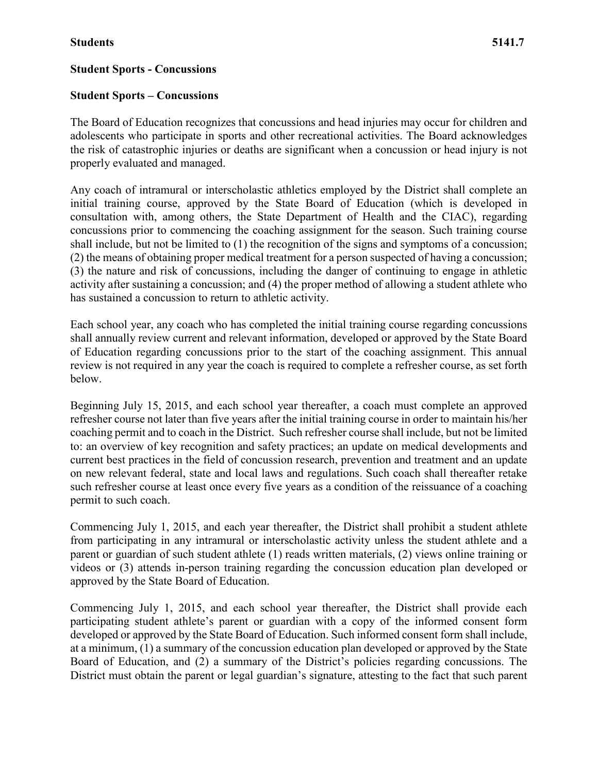#### **Student Sports – Concussions**

The Board of Education recognizes that concussions and head injuries may occur for children and adolescents who participate in sports and other recreational activities. The Board acknowledges the risk of catastrophic injuries or deaths are significant when a concussion or head injury is not properly evaluated and managed.

Any coach of intramural or interscholastic athletics employed by the District shall complete an initial training course, approved by the State Board of Education (which is developed in consultation with, among others, the State Department of Health and the CIAC), regarding concussions prior to commencing the coaching assignment for the season. Such training course shall include, but not be limited to (1) the recognition of the signs and symptoms of a concussion; (2) the means of obtaining proper medical treatment for a person suspected of having a concussion; (3) the nature and risk of concussions, including the danger of continuing to engage in athletic activity after sustaining a concussion; and (4) the proper method of allowing a student athlete who has sustained a concussion to return to athletic activity.

Each school year, any coach who has completed the initial training course regarding concussions shall annually review current and relevant information, developed or approved by the State Board of Education regarding concussions prior to the start of the coaching assignment. This annual review is not required in any year the coach is required to complete a refresher course, as set forth below.

Beginning July 15, 2015, and each school year thereafter, a coach must complete an approved refresher course not later than five years after the initial training course in order to maintain his/her coaching permit and to coach in the District. Such refresher course shall include, but not be limited to: an overview of key recognition and safety practices; an update on medical developments and current best practices in the field of concussion research, prevention and treatment and an update on new relevant federal, state and local laws and regulations. Such coach shall thereafter retake such refresher course at least once every five years as a condition of the reissuance of a coaching permit to such coach.

Commencing July 1, 2015, and each year thereafter, the District shall prohibit a student athlete from participating in any intramural or interscholastic activity unless the student athlete and a parent or guardian of such student athlete (1) reads written materials, (2) views online training or videos or (3) attends in-person training regarding the concussion education plan developed or approved by the State Board of Education.

Commencing July 1, 2015, and each school year thereafter, the District shall provide each participating student athlete's parent or guardian with a copy of the informed consent form developed or approved by the State Board of Education. Such informed consent form shall include, at a minimum, (1) a summary of the concussion education plan developed or approved by the State Board of Education, and (2) a summary of the District's policies regarding concussions. The District must obtain the parent or legal guardian's signature, attesting to the fact that such parent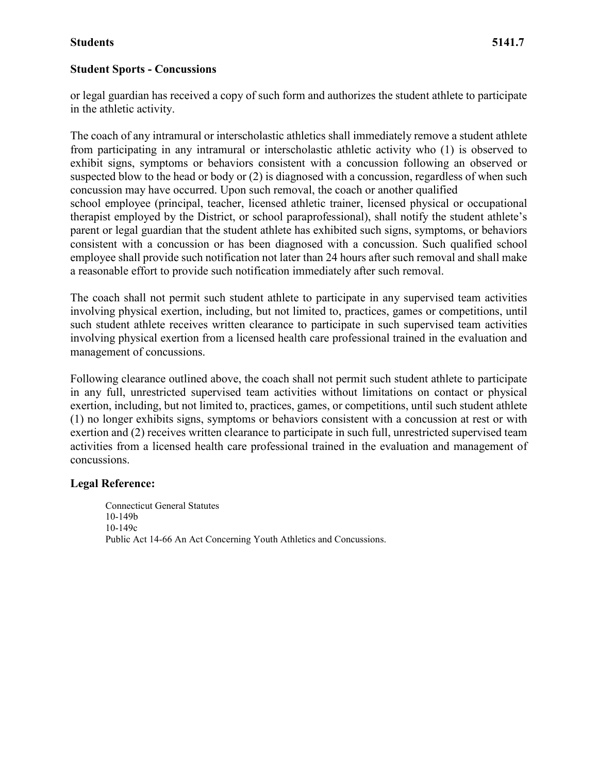#### **Student Sports - Concussions**

or legal guardian has received a copy of such form and authorizes the student athlete to participate in the athletic activity.

The coach of any intramural or interscholastic athletics shall immediately remove a student athlete from participating in any intramural or interscholastic athletic activity who (1) is observed to exhibit signs, symptoms or behaviors consistent with a concussion following an observed or suspected blow to the head or body or (2) is diagnosed with a concussion, regardless of when such concussion may have occurred. Upon such removal, the coach or another qualified school employee (principal, teacher, licensed athletic trainer, licensed physical or occupational therapist employed by the District, or school paraprofessional), shall notify the student athlete's parent or legal guardian that the student athlete has exhibited such signs, symptoms, or behaviors consistent with a concussion or has been diagnosed with a concussion. Such qualified school employee shall provide such notification not later than 24 hours after such removal and shall make a reasonable effort to provide such notification immediately after such removal.

The coach shall not permit such student athlete to participate in any supervised team activities involving physical exertion, including, but not limited to, practices, games or competitions, until such student athlete receives written clearance to participate in such supervised team activities involving physical exertion from a licensed health care professional trained in the evaluation and management of concussions.

Following clearance outlined above, the coach shall not permit such student athlete to participate in any full, unrestricted supervised team activities without limitations on contact or physical exertion, including, but not limited to, practices, games, or competitions, until such student athlete (1) no longer exhibits signs, symptoms or behaviors consistent with a concussion at rest or with exertion and (2) receives written clearance to participate in such full, unrestricted supervised team activities from a licensed health care professional trained in the evaluation and management of concussions.

#### **Legal Reference:**

Connecticut General Statutes 10-149b 10-149c Public Act 14-66 An Act Concerning Youth Athletics and Concussions.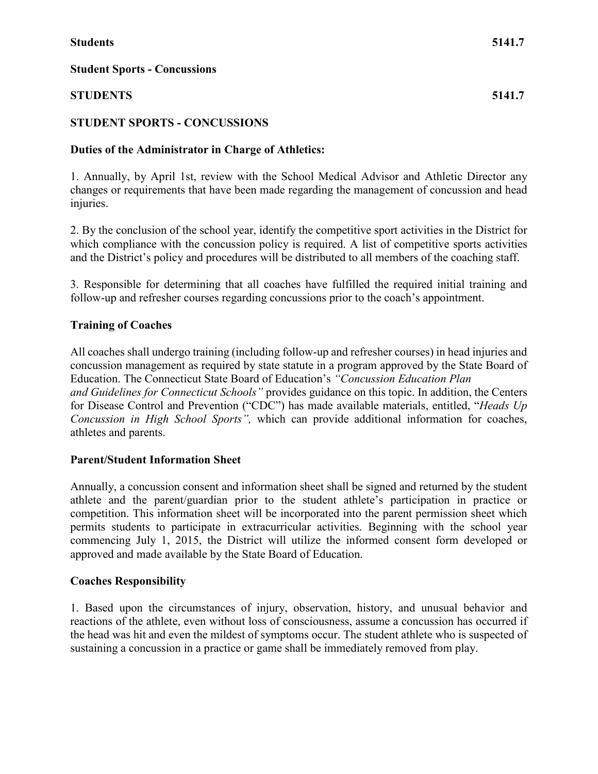## **STUDENTS 5141.7**

## **STUDENT SPORTS - CONCUSSIONS**

## **Duties of the Administrator in Charge of Athletics:**

1. Annually, by April 1st, review with the School Medical Advisor and Athletic Director any changes or requirements that have been made regarding the management of concussion and head injuries.

2. By the conclusion of the school year, identify the competitive sport activities in the District for which compliance with the concussion policy is required. A list of competitive sports activities and the District's policy and procedures will be distributed to all members of the coaching staff.

3. Responsible for determining that all coaches have fulfilled the required initial training and follow-up and refresher courses regarding concussions prior to the coach's appointment.

## **Training of Coaches**

All coaches shall undergo training (including follow-up and refresher courses) in head injuries and concussion management as required by state statute in a program approved by the State Board of Education. The Connecticut State Board of Education's *"Concussion Education Plan and Guidelines for Connecticut Schools"* provides guidance on this topic. In addition, the Centers for Disease Control and Prevention ("CDC") has made available materials, entitled, "*Heads Up Concussion in High School Sports",* which can provide additional information for coaches, athletes and parents.

## **Parent/Student Information Sheet**

Annually, a concussion consent and information sheet shall be signed and returned by the student athlete and the parent/guardian prior to the student athlete's participation in practice or competition. This information sheet will be incorporated into the parent permission sheet which permits students to participate in extracurricular activities. Beginning with the school year commencing July 1, 2015, the District will utilize the informed consent form developed or approved and made available by the State Board of Education.

## **Coaches Responsibility**

1. Based upon the circumstances of injury, observation, history, and unusual behavior and reactions of the athlete, even without loss of consciousness, assume a concussion has occurred if the head was hit and even the mildest of symptoms occur. The student athlete who is suspected of sustaining a concussion in a practice or game shall be immediately removed from play.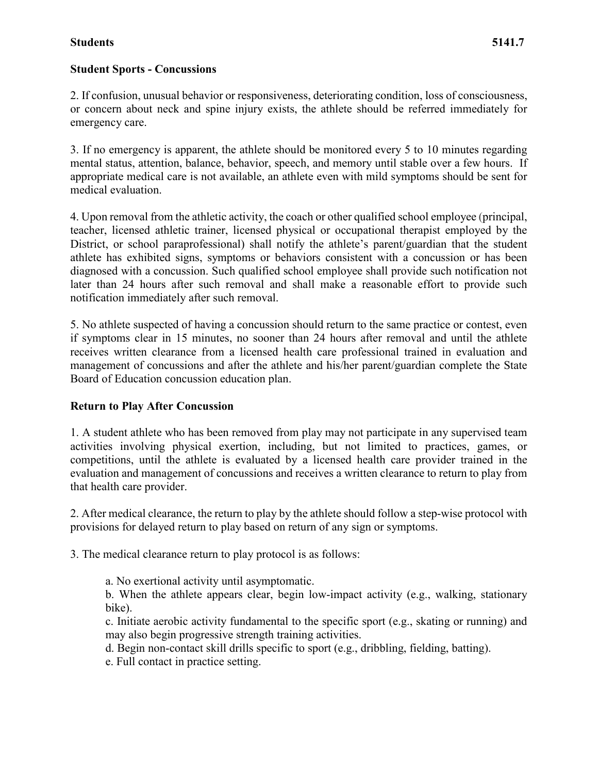#### **Student Sports - Concussions**

2. If confusion, unusual behavior or responsiveness, deteriorating condition, loss of consciousness, or concern about neck and spine injury exists, the athlete should be referred immediately for emergency care.

3. If no emergency is apparent, the athlete should be monitored every 5 to 10 minutes regarding mental status, attention, balance, behavior, speech, and memory until stable over a few hours. If appropriate medical care is not available, an athlete even with mild symptoms should be sent for medical evaluation.

4. Upon removal from the athletic activity, the coach or other qualified school employee (principal, teacher, licensed athletic trainer, licensed physical or occupational therapist employed by the District, or school paraprofessional) shall notify the athlete's parent/guardian that the student athlete has exhibited signs, symptoms or behaviors consistent with a concussion or has been diagnosed with a concussion. Such qualified school employee shall provide such notification not later than 24 hours after such removal and shall make a reasonable effort to provide such notification immediately after such removal.

5. No athlete suspected of having a concussion should return to the same practice or contest, even if symptoms clear in 15 minutes, no sooner than 24 hours after removal and until the athlete receives written clearance from a licensed health care professional trained in evaluation and management of concussions and after the athlete and his/her parent/guardian complete the State Board of Education concussion education plan.

#### **Return to Play After Concussion**

1. A student athlete who has been removed from play may not participate in any supervised team activities involving physical exertion, including, but not limited to practices, games, or competitions, until the athlete is evaluated by a licensed health care provider trained in the evaluation and management of concussions and receives a written clearance to return to play from that health care provider.

2. After medical clearance, the return to play by the athlete should follow a step-wise protocol with provisions for delayed return to play based on return of any sign or symptoms.

3. The medical clearance return to play protocol is as follows:

a. No exertional activity until asymptomatic.

b. When the athlete appears clear, begin low-impact activity (e.g., walking, stationary bike).

c. Initiate aerobic activity fundamental to the specific sport (e.g., skating or running) and may also begin progressive strength training activities.

d. Begin non-contact skill drills specific to sport (e.g., dribbling, fielding, batting).

e. Full contact in practice setting.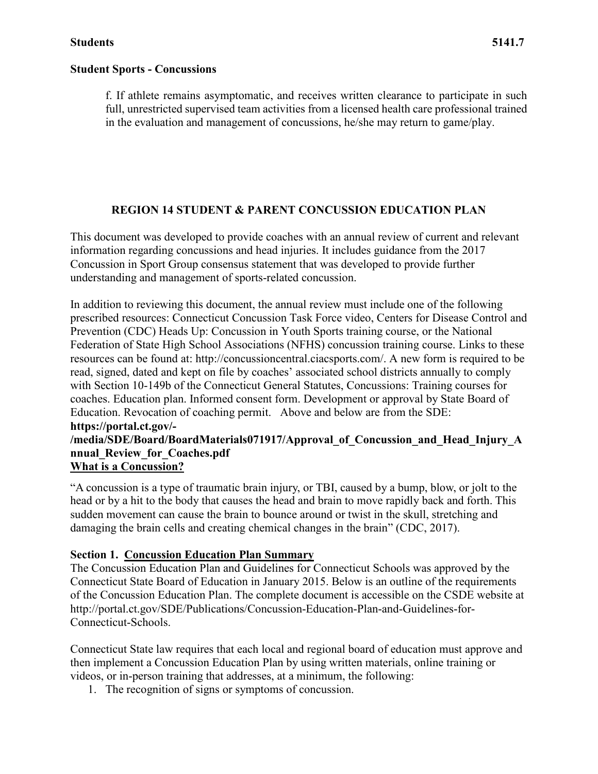f. If athlete remains asymptomatic, and receives written clearance to participate in such full, unrestricted supervised team activities from a licensed health care professional trained in the evaluation and management of concussions, he/she may return to game/play.

## **REGION 14 STUDENT & PARENT CONCUSSION EDUCATION PLAN**

This document was developed to provide coaches with an annual review of current and relevant information regarding concussions and head injuries. It includes guidance from the 2017 Concussion in Sport Group consensus statement that was developed to provide further understanding and management of sports-related concussion.

In addition to reviewing this document, the annual review must include one of the following prescribed resources: Connecticut Concussion Task Force video, Centers for Disease Control and Prevention (CDC) Heads Up: Concussion in Youth Sports training course, or the National Federation of State High School Associations (NFHS) concussion training course. Links to these resources can be found at: http://concussioncentral.ciacsports.com/. A new form is required to be read, signed, dated and kept on file by coaches' associated school districts annually to comply with Section 10-149b of the Connecticut General Statutes, Concussions: Training courses for coaches. Education plan. Informed consent form. Development or approval by State Board of Education. Revocation of coaching permit. Above and below are from the SDE: **https://portal.ct.gov/-**

## **/media/SDE/Board/BoardMaterials071917/Approval\_of\_Concussion\_and\_Head\_Injury\_A nnual\_Review\_for\_Coaches.pdf What is a Concussion?**

"A concussion is a type of traumatic brain injury, or TBI, caused by a bump, blow, or jolt to the head or by a hit to the body that causes the head and brain to move rapidly back and forth. This sudden movement can cause the brain to bounce around or twist in the skull, stretching and damaging the brain cells and creating chemical changes in the brain" (CDC, 2017).

## **Section 1. Concussion Education Plan Summary**

The Concussion Education Plan and Guidelines for Connecticut Schools was approved by the Connecticut State Board of Education in January 2015. Below is an outline of the requirements of the Concussion Education Plan. The complete document is accessible on the CSDE website at http://portal.ct.gov/SDE/Publications/Concussion-Education-Plan-and-Guidelines-for-Connecticut-Schools.

Connecticut State law requires that each local and regional board of education must approve and then implement a Concussion Education Plan by using written materials, online training or videos, or in-person training that addresses, at a minimum, the following:

1. The recognition of signs or symptoms of concussion.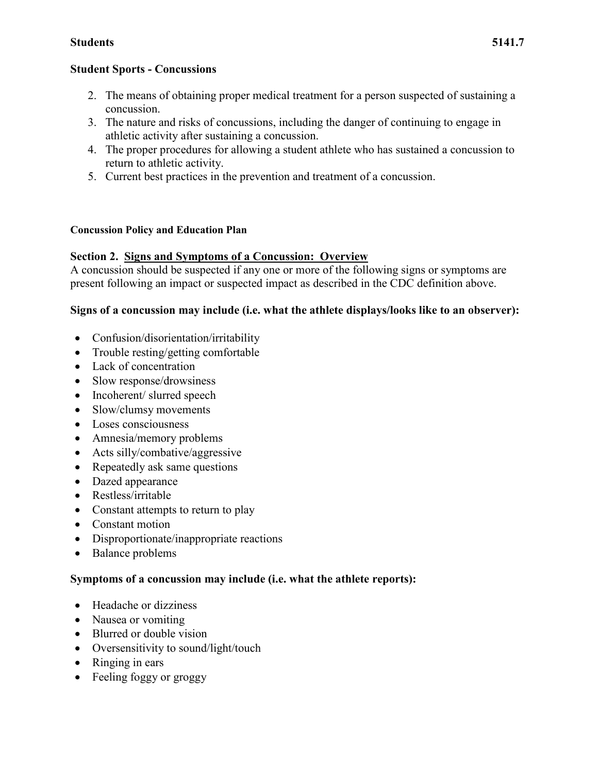#### **Student Sports - Concussions**

- 2. The means of obtaining proper medical treatment for a person suspected of sustaining a concussion.
- 3. The nature and risks of concussions, including the danger of continuing to engage in athletic activity after sustaining a concussion.
- 4. The proper procedures for allowing a student athlete who has sustained a concussion to return to athletic activity.
- 5. Current best practices in the prevention and treatment of a concussion.

#### **Concussion Policy and Education Plan**

## **Section 2. Signs and Symptoms of a Concussion: Overview**

A concussion should be suspected if any one or more of the following signs or symptoms are present following an impact or suspected impact as described in the CDC definition above.

## **Signs of a concussion may include (i.e. what the athlete displays/looks like to an observer):**

- Confusion/disorientation/irritability
- Trouble resting/getting comfortable
- Lack of concentration
- Slow response/drowsiness
- Incoherent/ slurred speech
- Slow/clumsy movements
- Loses consciousness
- Amnesia/memory problems
- Acts silly/combative/aggressive
- Repeatedly ask same questions
- Dazed appearance
- Restless/irritable
- Constant attempts to return to play
- Constant motion
- Disproportionate/inappropriate reactions
- Balance problems

## **Symptoms of a concussion may include (i.e. what the athlete reports):**

- Headache or dizziness
- Nausea or vomiting
- Blurred or double vision
- Oversensitivity to sound/light/touch
- Ringing in ears
- Feeling foggy or groggy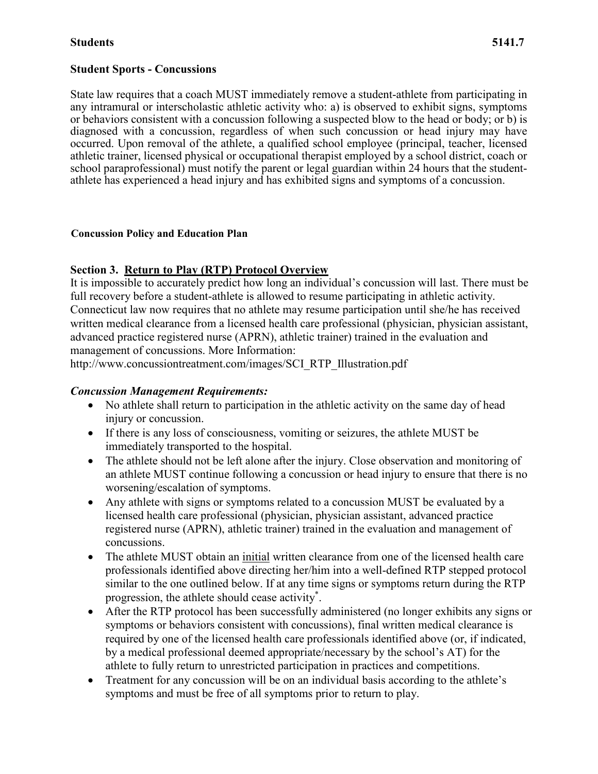#### **Student Sports - Concussions**

State law requires that a coach MUST immediately remove a student-athlete from participating in any intramural or interscholastic athletic activity who: a) is observed to exhibit signs, symptoms or behaviors consistent with a concussion following a suspected blow to the head or body; or b) is diagnosed with a concussion, regardless of when such concussion or head injury may have occurred. Upon removal of the athlete, a qualified school employee (principal, teacher, licensed athletic trainer, licensed physical or occupational therapist employed by a school district, coach or school paraprofessional) must notify the parent or legal guardian within 24 hours that the studentathlete has experienced a head injury and has exhibited signs and symptoms of a concussion.

#### **Concussion Policy and Education Plan**

## **Section 3. Return to Play (RTP) Protocol Overview**

It is impossible to accurately predict how long an individual's concussion will last. There must be full recovery before a student-athlete is allowed to resume participating in athletic activity. Connecticut law now requires that no athlete may resume participation until she/he has received written medical clearance from a licensed health care professional (physician, physician assistant, advanced practice registered nurse (APRN), athletic trainer) trained in the evaluation and management of concussions. More Information:

http://www.concussiontreatment.com/images/SCI\_RTP\_Illustration.pdf

## *Concussion Management Requirements:*

- No athlete shall return to participation in the athletic activity on the same day of head injury or concussion.
- If there is any loss of consciousness, vomiting or seizures, the athlete MUST be immediately transported to the hospital.
- The athlete should not be left alone after the injury. Close observation and monitoring of an athlete MUST continue following a concussion or head injury to ensure that there is no worsening/escalation of symptoms.
- Any athlete with signs or symptoms related to a concussion MUST be evaluated by a licensed health care professional (physician, physician assistant, advanced practice registered nurse (APRN), athletic trainer) trained in the evaluation and management of concussions.
- The athlete MUST obtain an initial written clearance from one of the licensed health care professionals identified above directing her/him into a well-defined RTP stepped protocol similar to the one outlined below. If at any time signs or symptoms return during the RTP progression, the athlete should cease activity\* .
- After the RTP protocol has been successfully administered (no longer exhibits any signs or symptoms or behaviors consistent with concussions), final written medical clearance is required by one of the licensed health care professionals identified above (or, if indicated, by a medical professional deemed appropriate/necessary by the school's AT) for the athlete to fully return to unrestricted participation in practices and competitions.
- Treatment for any concussion will be on an individual basis according to the athlete's symptoms and must be free of all symptoms prior to return to play.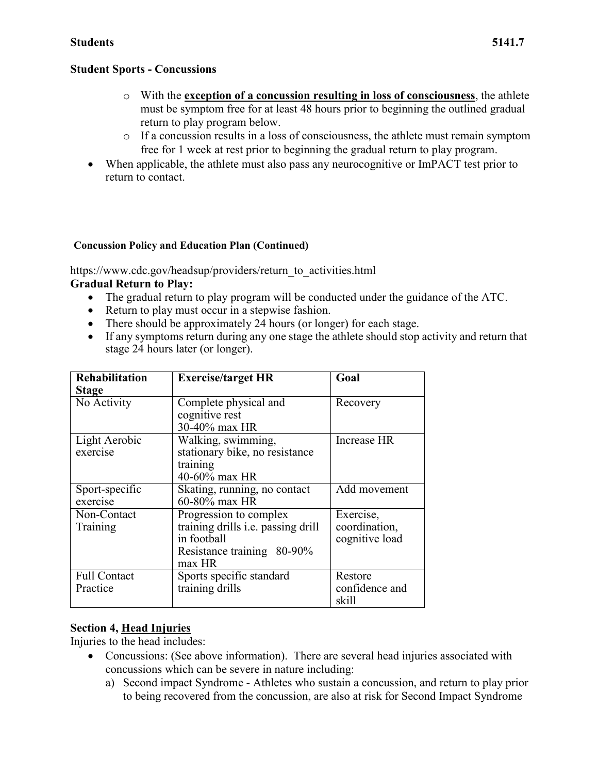- o With the **exception of a concussion resulting in loss of consciousness**, the athlete must be symptom free for at least 48 hours prior to beginning the outlined gradual return to play program below.
- o If a concussion results in a loss of consciousness, the athlete must remain symptom free for 1 week at rest prior to beginning the gradual return to play program.
- When applicable, the athlete must also pass any neurocognitive or ImPACT test prior to return to contact.

## **Concussion Policy and Education Plan (Continued)**

https://www.cdc.gov/headsup/providers/return\_to\_activities.html

## **Gradual Return to Play:**

- The gradual return to play program will be conducted under the guidance of the ATC.
- Return to play must occur in a stepwise fashion.
- There should be approximately 24 hours (or longer) for each stage.
- If any symptoms return during any one stage the athlete should stop activity and return that stage 24 hours later (or longer).

| <b>Rehabilitation</b><br><b>Stage</b> | <b>Exercise/target HR</b>                                                                                           | Goal                                         |
|---------------------------------------|---------------------------------------------------------------------------------------------------------------------|----------------------------------------------|
| No Activity                           | Complete physical and<br>cognitive rest<br>30-40% max HR                                                            | Recovery                                     |
| Light Aerobic<br>exercise             | Walking, swimming,<br>stationary bike, no resistance<br>training<br>40-60% max HR                                   | Increase HR                                  |
| Sport-specific<br>exercise            | Skating, running, no contact<br>60-80% max HR                                                                       | Add movement                                 |
| Non-Contact<br>Training               | Progression to complex<br>training drills i.e. passing drill<br>in football<br>Resistance training 80-90%<br>max HR | Exercise,<br>coordination,<br>cognitive load |
| <b>Full Contact</b><br>Practice       | Sports specific standard<br>training drills                                                                         | Restore<br>confidence and<br>skill           |

# **Section 4, Head Injuries**

Injuries to the head includes:

- Concussions: (See above information). There are several head injuries associated with concussions which can be severe in nature including:
	- a) Second impact Syndrome Athletes who sustain a concussion, and return to play prior to being recovered from the concussion, are also at risk for Second Impact Syndrome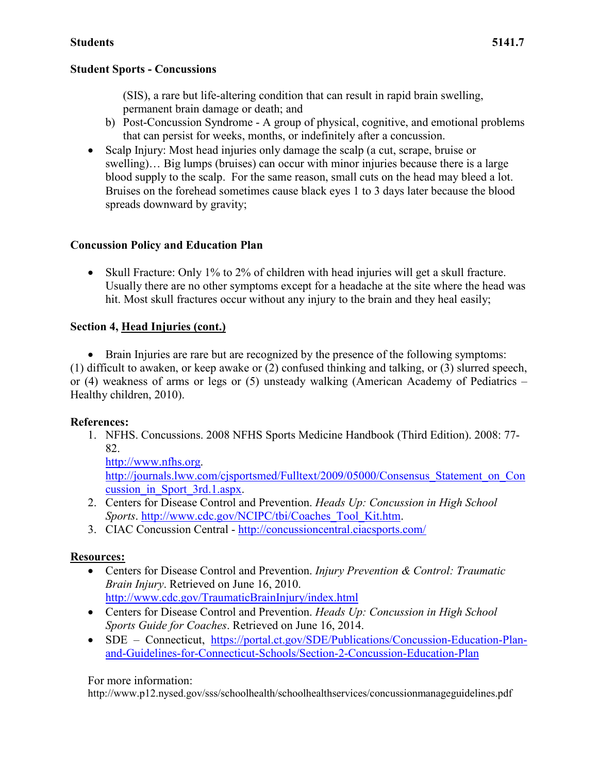(SIS), a rare but life-altering condition that can result in rapid brain swelling, permanent brain damage or death; and

- b) Post-Concussion Syndrome A group of physical, cognitive, and emotional problems that can persist for weeks, months, or indefinitely after a concussion.
- Scalp Injury: Most head injuries only damage the scalp (a cut, scrape, bruise or swelling)... Big lumps (bruises) can occur with minor injuries because there is a large blood supply to the scalp. For the same reason, small cuts on the head may bleed a lot. Bruises on the forehead sometimes cause black eyes 1 to 3 days later because the blood spreads downward by gravity;

## **Concussion Policy and Education Plan**

• Skull Fracture: Only 1% to 2% of children with head injuries will get a skull fracture. Usually there are no other symptoms except for a headache at the site where the head was hit. Most skull fractures occur without any injury to the brain and they heal easily;

## **Section 4, Head Injuries (cont.)**

• Brain Injuries are rare but are recognized by the presence of the following symptoms: (1) difficult to awaken, or keep awake or (2) confused thinking and talking, or (3) slurred speech, or (4) weakness of arms or legs or (5) unsteady walking (American Academy of Pediatrics – Healthy children, 2010).

## **References:**

1. NFHS. Concussions. 2008 NFHS Sports Medicine Handbook (Third Edition). 2008: 77- 82.

[http://www.nfhs.org.](http://www.nfhs.org/) http://journals.lww.com/cjsportsmed/Fulltext/2009/05000/Consensus Statement on Con [cussion\\_in\\_Sport\\_3rd.1.aspx.](http://journals.lww.com/cjsportsmed/Fulltext/2009/05000/Consensus_Statement_on_Concussion_in_Sport_3rd.1.aspx)

- 2. Centers for Disease Control and Prevention. *Heads Up: Concussion in High School Sports*. [http://www.cdc.gov/NCIPC/tbi/Coaches\\_Tool\\_Kit.htm.](http://www.cdc.gov/NCIPC/tbi/Coaches_Tool_Kit.htm)
- 3. CIAC Concussion Central <http://concussioncentral.ciacsports.com/>

## **Resources:**

- Centers for Disease Control and Prevention. *Injury Prevention & Control: Traumatic Brain Injury*. Retrieved on June 16, 2010. <http://www.cdc.gov/TraumaticBrainInjury/index.html>
- Centers for Disease Control and Prevention. *Heads Up: Concussion in High School Sports Guide for Coaches*. Retrieved on June 16, 2014.
- SDE Connecticut, [https://portal.ct.gov/SDE/Publications/Concussion-Education-Plan](https://portal.ct.gov/SDE/Publications/Concussion-Education-Plan-and-Guidelines-for-Connecticut-Schools/Section-2-Concussion-Education-Plan)[and-Guidelines-for-Connecticut-Schools/Section-2-Concussion-Education-Plan](https://portal.ct.gov/SDE/Publications/Concussion-Education-Plan-and-Guidelines-for-Connecticut-Schools/Section-2-Concussion-Education-Plan)

## For more information:

http://www.p12.nysed.gov/sss/schoolhealth/schoolhealthservices/concussionmanageguidelines.pdf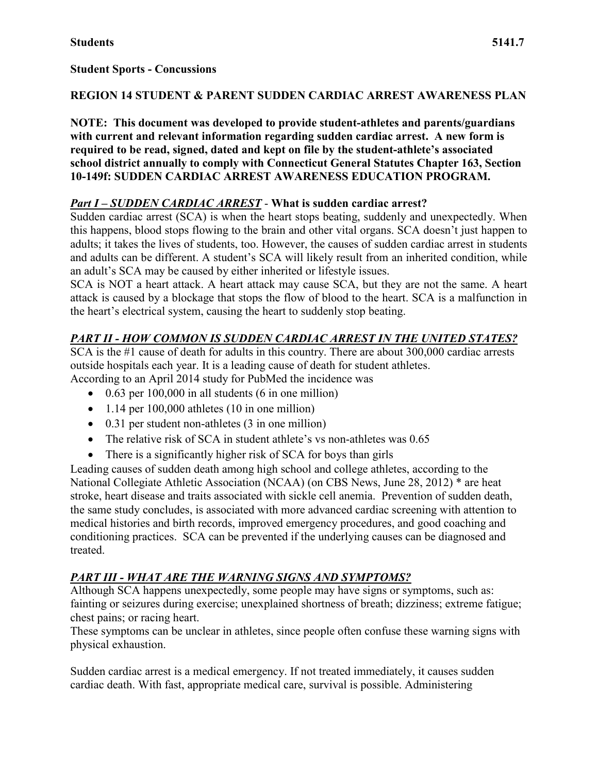## **REGION 14 STUDENT & PARENT SUDDEN CARDIAC ARREST AWARENESS PLAN**

**NOTE: This document was developed to provide student-athletes and parents/guardians with current and relevant information regarding sudden cardiac arrest. A new form is required to be read, signed, dated and kept on file by the student-athlete's associated school district annually to comply with Connecticut General Statutes Chapter 163, Section 10-149f: SUDDEN CARDIAC ARREST AWARENESS EDUCATION PROGRAM.**

# *Part I – SUDDEN CARDIAC ARREST* - **What is sudden cardiac arrest?**

Sudden cardiac arrest (SCA) is when the heart stops beating, suddenly and unexpectedly. When this happens, blood stops flowing to the brain and other vital organs. SCA doesn't just happen to adults; it takes the lives of students, too. However, the causes of sudden cardiac arrest in students and adults can be different. A student's SCA will likely result from an inherited condition, while an adult's SCA may be caused by either inherited or lifestyle issues.

SCA is NOT a heart attack. A heart attack may cause SCA, but they are not the same. A heart attack is caused by a blockage that stops the flow of blood to the heart. SCA is a malfunction in the heart's electrical system, causing the heart to suddenly stop beating.

# *PART II - HOW COMMON IS SUDDEN CARDIAC ARREST IN THE UNITED STATES?*

SCA is the #1 cause of death for adults in this country. There are about 300,000 cardiac arrests outside hospitals each year. It is a leading cause of death for student athletes. According to an April 2014 study for PubMed the incidence was

- $\bullet$  0.63 per 100,000 in all students (6 in one million)
- 1.14 per 100,000 athletes (10 in one million)
- 0.31 per student non-athletes (3 in one million)
- The relative risk of SCA in student athlete's vs non-athletes was 0.65
- There is a significantly higher risk of SCA for boys than girls

Leading causes of sudden death among high school and college athletes, according to the National Collegiate Athletic Association (NCAA) (on CBS News, June 28, 2012) \* are heat stroke, heart disease and traits associated with sickle cell anemia. Prevention of sudden death, the same study concludes, is associated with more advanced cardiac screening with attention to medical histories and birth records, improved emergency procedures, and good coaching and conditioning practices. SCA can be prevented if the underlying causes can be diagnosed and treated.

# *PART III - WHAT ARE THE WARNING SIGNS AND SYMPTOMS?*

Although SCA happens unexpectedly, some people may have signs or symptoms, such as: fainting or seizures during exercise; unexplained shortness of breath; dizziness; extreme fatigue; chest pains; or racing heart.

These symptoms can be unclear in athletes, since people often confuse these warning signs with physical exhaustion.

Sudden cardiac arrest is a medical emergency. If not treated immediately, it causes sudden cardiac death. With fast, appropriate medical care, survival is possible. Administering